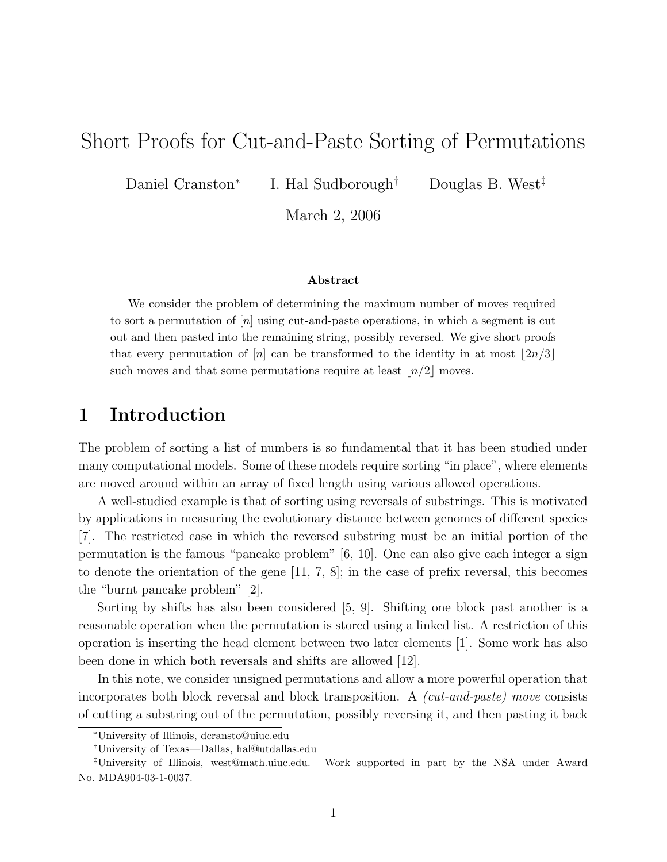# Short Proofs for Cut-and-Paste Sorting of Permutations

Daniel Cranston<sup>∗</sup>

I. Hal Sudborough<sup>†</sup> Douglas B. West<sup>‡</sup>

March 2, 2006

#### Abstract

We consider the problem of determining the maximum number of moves required to sort a permutation of  $[n]$  using cut-and-paste operations, in which a segment is cut out and then pasted into the remaining string, possibly reversed. We give short proofs that every permutation of  $[n]$  can be transformed to the identity in at most  $\lfloor 2n/3 \rfloor$ such moves and that some permutations require at least  $\lfloor n/2 \rfloor$  moves.

# 1 Introduction

The problem of sorting a list of numbers is so fundamental that it has been studied under many computational models. Some of these models require sorting "in place", where elements are moved around within an array of fixed length using various allowed operations.

A well-studied example is that of sorting using reversals of substrings. This is motivated by applications in measuring the evolutionary distance between genomes of different species [7]. The restricted case in which the reversed substring must be an initial portion of the permutation is the famous "pancake problem" [6, 10]. One can also give each integer a sign to denote the orientation of the gene [11, 7, 8]; in the case of prefix reversal, this becomes the "burnt pancake problem" [2].

Sorting by shifts has also been considered [5, 9]. Shifting one block past another is a reasonable operation when the permutation is stored using a linked list. A restriction of this operation is inserting the head element between two later elements [1]. Some work has also been done in which both reversals and shifts are allowed [12].

In this note, we consider unsigned permutations and allow a more powerful operation that incorporates both block reversal and block transposition. A (cut-and-paste) move consists of cutting a substring out of the permutation, possibly reversing it, and then pasting it back

<sup>∗</sup>University of Illinois, dcransto@uiuc.edu

<sup>†</sup>University of Texas—Dallas, hal@utdallas.edu

<sup>‡</sup>University of Illinois, west@math.uiuc.edu. Work supported in part by the NSA under Award No. MDA904-03-1-0037.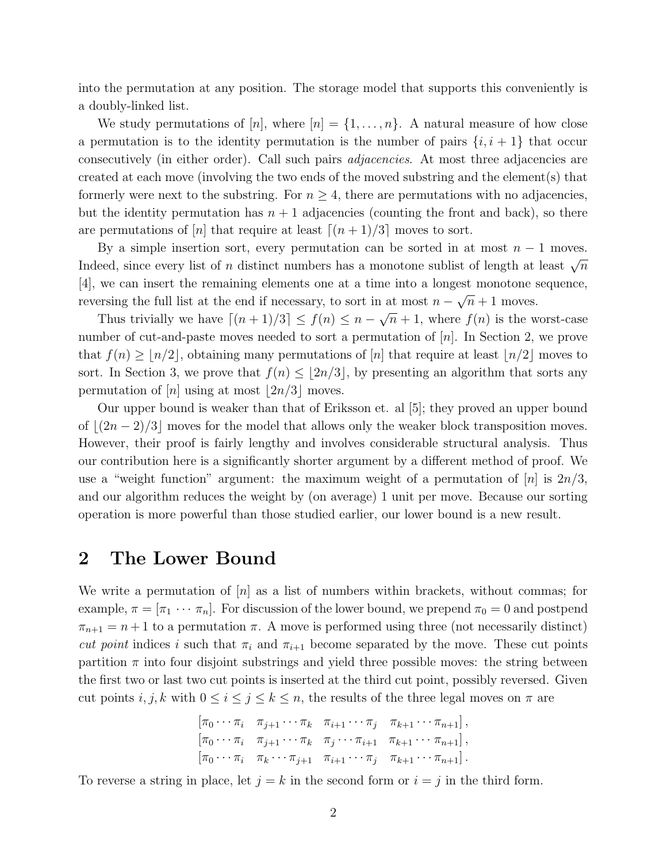into the permutation at any position. The storage model that supports this conveniently is a doubly-linked list.

We study permutations of  $[n]$ , where  $[n] = \{1, \ldots, n\}$ . A natural measure of how close a permutation is to the identity permutation is the number of pairs  $\{i, i + 1\}$  that occur consecutively (in either order). Call such pairs adjacencies. At most three adjacencies are created at each move (involving the two ends of the moved substring and the element(s) that formerly were next to the substring. For  $n \geq 4$ , there are permutations with no adjacencies, but the identity permutation has  $n + 1$  adjacencies (counting the front and back), so there are permutations of [n] that require at least  $[(n + 1)/3]$  moves to sort.

By a simple insertion sort, every permutation can be sorted in at most  $n-1$  moves. Indeed, since every list of n distinct numbers has a monotone sublist of length at least  $\sqrt{n}$ [4], we can insert the remaining elements one at a time into a longest monotone sequence, reversing the full list at the end if necessary, to sort in at most  $n - \sqrt{n} + 1$  moves.

Thus trivially we have  $\lceil (n + 1)/3 \rceil \le f(n) \le n - \sqrt{n} + 1$ , where  $f(n)$  is the worst-case number of cut-and-paste moves needed to sort a permutation of  $[n]$ . In Section 2, we prove that  $f(n) \geq |n/2|$ , obtaining many permutations of  $|n|$  that require at least  $|n/2|$  moves to sort. In Section 3, we prove that  $f(n) \leq |2n/3|$ , by presenting an algorithm that sorts any permutation of  $[n]$  using at most  $\lfloor 2n/3 \rfloor$  moves.

Our upper bound is weaker than that of Eriksson et. al [5]; they proved an upper bound of  $|(2n - 2)/3|$  moves for the model that allows only the weaker block transposition moves. However, their proof is fairly lengthy and involves considerable structural analysis. Thus our contribution here is a significantly shorter argument by a different method of proof. We use a "weight function" argument: the maximum weight of a permutation of  $[n]$  is  $2n/3$ , and our algorithm reduces the weight by (on average) 1 unit per move. Because our sorting operation is more powerful than those studied earlier, our lower bound is a new result.

# 2 The Lower Bound

We write a permutation of  $[n]$  as a list of numbers within brackets, without commas; for example,  $\pi = [\pi_1 \cdots \pi_n]$ . For discussion of the lower bound, we prepend  $\pi_0 = 0$  and postpend  $\pi_{n+1} = n+1$  to a permutation  $\pi$ . A move is performed using three (not necessarily distinct) cut point indices i such that  $\pi_i$  and  $\pi_{i+1}$  become separated by the move. These cut points partition  $\pi$  into four disjoint substrings and yield three possible moves: the string between the first two or last two cut points is inserted at the third cut point, possibly reversed. Given cut points  $i, j, k$  with  $0 \le i \le j \le k \le n$ , the results of the three legal moves on  $\pi$  are

$$
\begin{bmatrix}\n\pi_0 \cdots \pi_i & \pi_{j+1} \cdots \pi_k & \pi_{i+1} \cdots \pi_j & \pi_{k+1} \cdots \pi_{n+1} \\
\pi_0 \cdots \pi_i & \pi_{j+1} \cdots \pi_k & \pi_j \cdots \pi_{i+1} & \pi_{k+1} \cdots \pi_{n+1} \\
\pi_0 \cdots \pi_i & \pi_k \cdots \pi_{j+1} & \pi_{i+1} \cdots \pi_j & \pi_{k+1} \cdots \pi_{n+1}\n\end{bmatrix},
$$

To reverse a string in place, let  $j = k$  in the second form or  $i = j$  in the third form.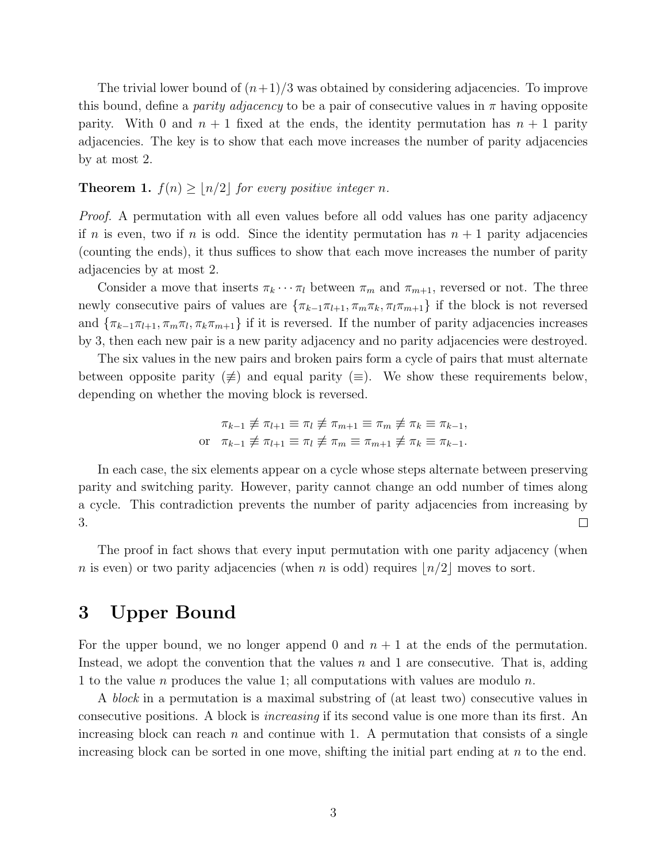The trivial lower bound of  $(n+1)/3$  was obtained by considering adjacencies. To improve this bound, define a *parity adjacency* to be a pair of consecutive values in  $\pi$  having opposite parity. With 0 and  $n + 1$  fixed at the ends, the identity permutation has  $n + 1$  parity adjacencies. The key is to show that each move increases the number of parity adjacencies by at most 2.

### **Theorem 1.**  $f(n) \geq \lfloor n/2 \rfloor$  for every positive integer n.

Proof. A permutation with all even values before all odd values has one parity adjacency if n is even, two if n is odd. Since the identity permutation has  $n + 1$  parity adjacencies (counting the ends), it thus suffices to show that each move increases the number of parity adjacencies by at most 2.

Consider a move that inserts  $\pi_k \cdots \pi_l$  between  $\pi_m$  and  $\pi_{m+1}$ , reversed or not. The three newly consecutive pairs of values are  $\{\pi_{k-1}\pi_{l+1}, \pi_m\pi_k, \pi_l\pi_{m+1}\}\$  if the block is not reversed and  $\{\pi_{k-1}\pi_{l+1}, \pi_m\pi_l, \pi_k\pi_{m+1}\}\$  if it is reversed. If the number of parity adjacencies increases by 3, then each new pair is a new parity adjacency and no parity adjacencies were destroyed.

The six values in the new pairs and broken pairs form a cycle of pairs that must alternate between opposite parity  $(\neq)$  and equal parity  $(\equiv)$ . We show these requirements below, depending on whether the moving block is reversed.

$$
\pi_{k-1} \not\equiv \pi_{l+1} \equiv \pi_l \not\equiv \pi_{m+1} \equiv \pi_m \not\equiv \pi_k \equiv \pi_{k-1},
$$
\nor

\n
$$
\pi_{k-1} \not\equiv \pi_{l+1} \equiv \pi_l \not\equiv \pi_m \equiv \pi_{m+1} \not\equiv \pi_k \equiv \pi_{k-1}.
$$

In each case, the six elements appear on a cycle whose steps alternate between preserving parity and switching parity. However, parity cannot change an odd number of times along a cycle. This contradiction prevents the number of parity adjacencies from increasing by 3.  $\Box$ 

The proof in fact shows that every input permutation with one parity adjacency (when n is even) or two parity adjacencies (when n is odd) requires  $n/2$  moves to sort.

# 3 Upper Bound

For the upper bound, we no longer append 0 and  $n + 1$  at the ends of the permutation. Instead, we adopt the convention that the values  $n$  and 1 are consecutive. That is, adding 1 to the value n produces the value 1; all computations with values are modulo n.

A block in a permutation is a maximal substring of (at least two) consecutive values in consecutive positions. A block is increasing if its second value is one more than its first. An increasing block can reach  $n$  and continue with 1. A permutation that consists of a single increasing block can be sorted in one move, shifting the initial part ending at  $n$  to the end.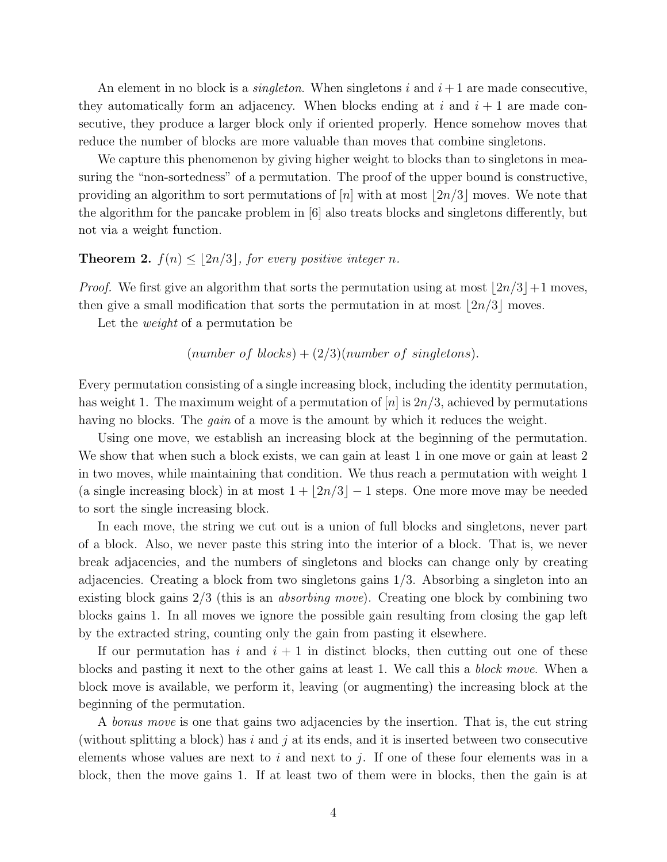An element in no block is a *singleton*. When singletons i and  $i + 1$  are made consecutive, they automatically form an adjacency. When blocks ending at i and  $i + 1$  are made consecutive, they produce a larger block only if oriented properly. Hence somehow moves that reduce the number of blocks are more valuable than moves that combine singletons.

We capture this phenomenon by giving higher weight to blocks than to singletons in measuring the "non-sortedness" of a permutation. The proof of the upper bound is constructive, providing an algorithm to sort permutations of  $[n]$  with at most  $|2n/3|$  moves. We note that the algorithm for the pancake problem in [6] also treats blocks and singletons differently, but not via a weight function.

### **Theorem 2.**  $f(n) \leq |2n/3|$ , for every positive integer n.

*Proof.* We first give an algorithm that sorts the permutation using at most  $\lfloor 2n/3 \rfloor + 1$  moves, then give a small modification that sorts the permutation in at most  $\lfloor 2n/3 \rfloor$  moves.

Let the weight of a permutation be

### (number of blocks) +  $(2/3)(number of singletons)$ .

Every permutation consisting of a single increasing block, including the identity permutation, has weight 1. The maximum weight of a permutation of  $[n]$  is  $2n/3$ , achieved by permutations having no blocks. The *gain* of a move is the amount by which it reduces the weight.

Using one move, we establish an increasing block at the beginning of the permutation. We show that when such a block exists, we can gain at least 1 in one move or gain at least 2 in two moves, while maintaining that condition. We thus reach a permutation with weight 1 (a single increasing block) in at most  $1 + |2n/3| - 1$  steps. One more move may be needed to sort the single increasing block.

In each move, the string we cut out is a union of full blocks and singletons, never part of a block. Also, we never paste this string into the interior of a block. That is, we never break adjacencies, and the numbers of singletons and blocks can change only by creating adjacencies. Creating a block from two singletons gains 1/3. Absorbing a singleton into an existing block gains 2/3 (this is an absorbing move). Creating one block by combining two blocks gains 1. In all moves we ignore the possible gain resulting from closing the gap left by the extracted string, counting only the gain from pasting it elsewhere.

If our permutation has i and  $i + 1$  in distinct blocks, then cutting out one of these blocks and pasting it next to the other gains at least 1. We call this a block move. When a block move is available, we perform it, leaving (or augmenting) the increasing block at the beginning of the permutation.

A *bonus move* is one that gains two adjacencies by the insertion. That is, the cut string (without splitting a block) has  $i$  and  $j$  at its ends, and it is inserted between two consecutive elements whose values are next to  $i$  and next to  $j$ . If one of these four elements was in a block, then the move gains 1. If at least two of them were in blocks, then the gain is at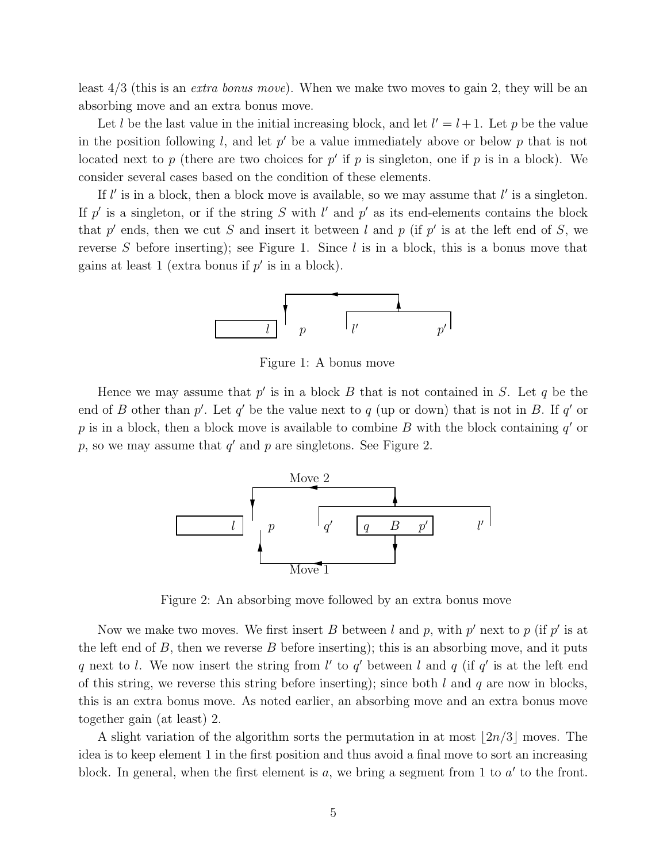least 4/3 (this is an extra bonus move). When we make two moves to gain 2, they will be an absorbing move and an extra bonus move.

Let l be the last value in the initial increasing block, and let  $l' = l + 1$ . Let p be the value in the position following l, and let  $p'$  be a value immediately above or below p that is not located next to p (there are two choices for p' if p is singleton, one if p is in a block). We consider several cases based on the condition of these elements.

If  $l'$  is in a block, then a block move is available, so we may assume that  $l'$  is a singleton. If p' is a singleton, or if the string S with l' and p' as its end-elements contains the block that p' ends, then we cut S and insert it between l and p (if p' is at the left end of S, we reverse S before inserting); see Figure 1. Since  $l$  is in a block, this is a bonus move that gains at least 1 (extra bonus if  $p'$  is in a block).



Figure 1: A bonus move

Hence we may assume that  $p'$  is in a block  $B$  that is not contained in  $S$ . Let  $q$  be the end of B other than  $p'$ . Let  $q'$  be the value next to  $q$  (up or down) that is not in B. If  $q'$  or p is in a block, then a block move is available to combine B with the block containing  $q'$  or  $p$ , so we may assume that  $q'$  and  $p$  are singletons. See Figure 2.



Figure 2: An absorbing move followed by an extra bonus move

Now we make two moves. We first insert B between l and p, with  $p'$  next to p (if  $p'$  is at the left end of  $B$ , then we reverse  $B$  before inserting); this is an absorbing move, and it puts q next to l. We now insert the string from l' to q' between l and q (if q' is at the left end of this string, we reverse this string before inserting); since both  $l$  and  $q$  are now in blocks, this is an extra bonus move. As noted earlier, an absorbing move and an extra bonus move together gain (at least) 2.

A slight variation of the algorithm sorts the permutation in at most  $\lfloor 2n/3 \rfloor$  moves. The idea is to keep element 1 in the first position and thus avoid a final move to sort an increasing block. In general, when the first element is  $a$ , we bring a segment from 1 to  $a'$  to the front.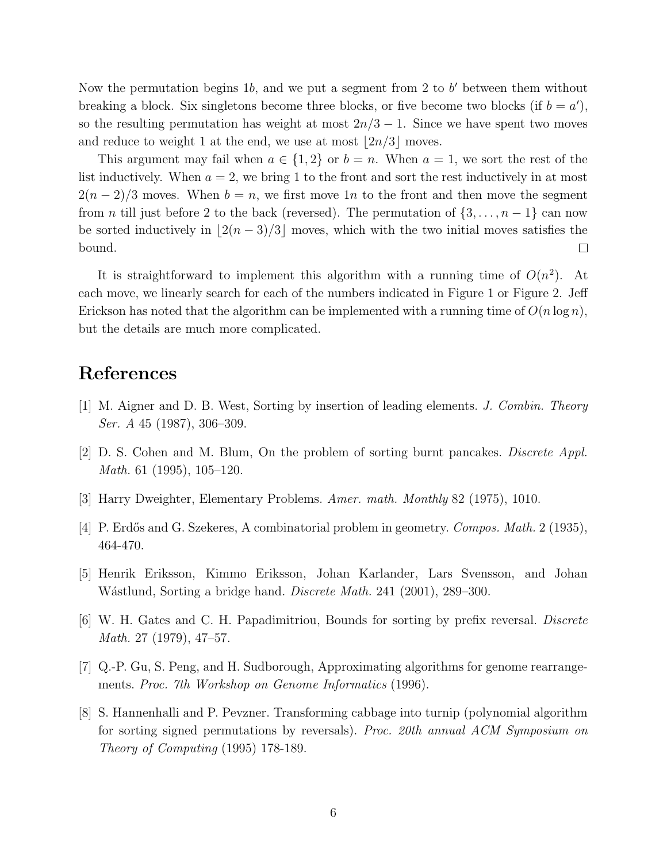Now the permutation begins 1b, and we put a segment from 2 to  $b'$  between them without breaking a block. Six singletons become three blocks, or five become two blocks (if  $b = a'$ ), so the resulting permutation has weight at most  $2n/3 - 1$ . Since we have spent two moves and reduce to weight 1 at the end, we use at most  $\lfloor 2n/3 \rfloor$  moves.

This argument may fail when  $a \in \{1,2\}$  or  $b = n$ . When  $a = 1$ , we sort the rest of the list inductively. When  $a = 2$ , we bring 1 to the front and sort the rest inductively in at most  $2(n-2)/3$  moves. When  $b = n$ , we first move 1n to the front and then move the segment from *n* till just before 2 to the back (reversed). The permutation of  $\{3, \ldots, n-1\}$  can now be sorted inductively in  $\lfloor 2(n - 3)/3 \rfloor$  moves, which with the two initial moves satisfies the bound.  $\Box$ 

It is straightforward to implement this algorithm with a running time of  $O(n^2)$ . At each move, we linearly search for each of the numbers indicated in Figure 1 or Figure 2. Jeff Erickson has noted that the algorithm can be implemented with a running time of  $O(n \log n)$ , but the details are much more complicated.

# References

- [1] M. Aigner and D. B. West, Sorting by insertion of leading elements. J. Combin. Theory Ser. A 45 (1987), 306–309.
- [2] D. S. Cohen and M. Blum, On the problem of sorting burnt pancakes. Discrete Appl. Math. 61 (1995), 105–120.
- [3] Harry Dweighter, Elementary Problems. Amer. math. Monthly 82 (1975), 1010.
- [4] P. Erdős and G. Szekeres, A combinatorial problem in geometry. *Compos. Math.* 2 (1935), 464-470.
- [5] Henrik Eriksson, Kimmo Eriksson, Johan Karlander, Lars Svensson, and Johan Wástlund, Sorting a bridge hand. *Discrete Math.* 241 (2001), 289–300.
- [6] W. H. Gates and C. H. Papadimitriou, Bounds for sorting by prefix reversal. Discrete Math. 27 (1979), 47–57.
- [7] Q.-P. Gu, S. Peng, and H. Sudborough, Approximating algorithms for genome rearrangements. Proc. 7th Workshop on Genome Informatics (1996).
- [8] S. Hannenhalli and P. Pevzner. Transforming cabbage into turnip (polynomial algorithm for sorting signed permutations by reversals). Proc. 20th annual ACM Symposium on Theory of Computing (1995) 178-189.